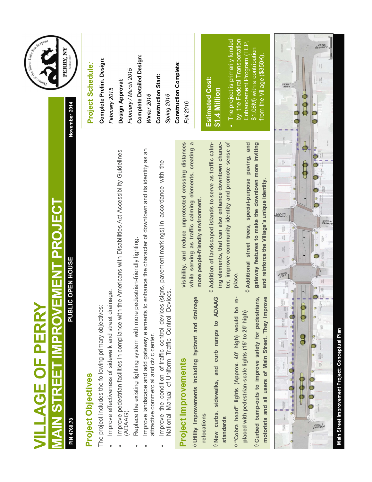| <b>VILLAGE OF PERRY</b>                                                                                                                                                                                                                                                     | Chapterpent<br><b>Aomeor</b>                                                                  |
|-----------------------------------------------------------------------------------------------------------------------------------------------------------------------------------------------------------------------------------------------------------------------------|-----------------------------------------------------------------------------------------------|
| <b>VIAIN STREET IMPROVEMENT PROJECT</b>                                                                                                                                                                                                                                     | PERRY, NY                                                                                     |
| PUBLIC OPEN HOUSE<br>PIN 4760.78                                                                                                                                                                                                                                            | Settled 1807<br>November 2014                                                                 |
| Project Objectives                                                                                                                                                                                                                                                          | Project Schedule:                                                                             |
| The project includes the following primary objectives:                                                                                                                                                                                                                      | Complete Prelim. Design:                                                                      |
| e Americans with Disabilities Act Accessibility Guidelines<br>Improve effectiveness of sidewalk and street drainage.<br>Improve pedestrian facilities in compliance with th<br>(ADAAG)                                                                                      | Design Approval:<br>February 2015                                                             |
| enhance the character of downtown and its identity as an<br>destrian-friendly lighting.<br>Replace the existing lighting system with more pe<br>Improve landscape and add gateway elements to<br>attractive commercial and civic center.                                    | <b>Complete Detailed Design:</b><br>February / March 2015<br>Winter 2016                      |
| Improve the condition of traffic control devices (signs, pavement markings) in accordance with the<br>National Manual of Uniform Traffic Control Devices.                                                                                                                   | <b>Construction Start:</b><br>Spring 2016                                                     |
| visibility, and reduce unprotected crossing distances<br>while serving as traffic calming elements, creating a<br>more people-friendly environment.<br>$\Diamond$ Utility improvements including hydrant and drainage<br>Project Improvements                               | Construction Complete:<br>Fall 2016                                                           |
| ter, improve community identity and promote sense of<br>$\Diamond$ Addition of landscaped islands to serve as traffic calm-<br>ing elements, that can also enhance downtown charac-<br>$\Diamond$ New curbs, sidewalks, and curb ramps to ADAAG<br>relocations<br>standards | <b>Estimated Cost:</b><br>\$1.4 Million                                                       |
| Additional street trees, special-purpose paving, and<br>place.<br>έ<br>$\Diamond$ "Cobra head" lights (Approx. 40' high) would be<br>placed with pedestrian-scale lights (15' to 20' high)                                                                                  | by the Federal Transportation<br>The project is primarily funded<br>Enhancement Program (TEP, |
| gateway features to make the downtown more inviting<br>and reinforce the Village's unique identity.<br>motorists and all users of Main Street. They improve<br>$\Diamond$ Curbed bump-outs to improve safety for pedestrians,                                               | \$1.06M) with a contribution<br>from the Village (\$350K).                                    |
| <b>Risk</b><br><b>STANNOS</b><br>Tanne<br><b>SUBJURIA</b><br>BOSTOZE<br>HATTS<br>NSI FANCE<br>RMIT<br><b>EAMILY</b><br>骤<br>I<br>TUATE SALONA<br>MATERIAN<br>PRROTRELLOT<br>GROUBLA BATES                                                                                   | <b>CIRCLE</b><br>PAGE                                                                         |
|                                                                                                                                                                                                                                                                             |                                                                                               |
| <b>AVENUE</b><br>BORDEN                                                                                                                                                                                                                                                     | <b>GARDEAU</b>                                                                                |
| Main Street Improvement Project: Conceptual Plan                                                                                                                                                                                                                            |                                                                                               |